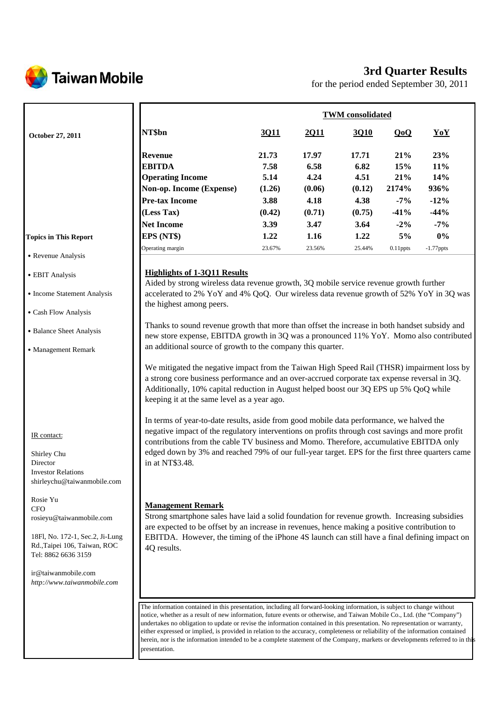

# **3rd Quarter Results**

for the period ended September 30, 2011

|                                                                                                                                  |                                                                                                                                                                                                                                                                                                                                                                                                                                                                                                                                                                                                                                                     | <b>TWM</b> consolidated |             |        |             |              |  |
|----------------------------------------------------------------------------------------------------------------------------------|-----------------------------------------------------------------------------------------------------------------------------------------------------------------------------------------------------------------------------------------------------------------------------------------------------------------------------------------------------------------------------------------------------------------------------------------------------------------------------------------------------------------------------------------------------------------------------------------------------------------------------------------------------|-------------------------|-------------|--------|-------------|--------------|--|
| October 27, 2011                                                                                                                 | NT\$bn                                                                                                                                                                                                                                                                                                                                                                                                                                                                                                                                                                                                                                              | 3Q11                    | <u>2011</u> | 3Q10   | QoQ         | YoY          |  |
|                                                                                                                                  | <b>Revenue</b>                                                                                                                                                                                                                                                                                                                                                                                                                                                                                                                                                                                                                                      | 21.73                   | 17.97       | 17.71  | 21%         | 23%          |  |
|                                                                                                                                  | <b>EBITDA</b>                                                                                                                                                                                                                                                                                                                                                                                                                                                                                                                                                                                                                                       | 7.58                    | 6.58        | 6.82   | 15%         | 11%          |  |
|                                                                                                                                  | <b>Operating Income</b>                                                                                                                                                                                                                                                                                                                                                                                                                                                                                                                                                                                                                             | 5.14                    | 4.24        | 4.51   | 21%         | 14%          |  |
|                                                                                                                                  | Non-op. Income (Expense)                                                                                                                                                                                                                                                                                                                                                                                                                                                                                                                                                                                                                            | (1.26)                  | (0.06)      | (0.12) | 2174%       | 936%         |  |
|                                                                                                                                  | <b>Pre-tax Income</b>                                                                                                                                                                                                                                                                                                                                                                                                                                                                                                                                                                                                                               | 3.88                    | 4.18        | 4.38   | $-7%$       | $-12%$       |  |
|                                                                                                                                  | (Less Tax)                                                                                                                                                                                                                                                                                                                                                                                                                                                                                                                                                                                                                                          | (0.42)                  | (0.71)      | (0.75) | $-41%$      | $-44%$       |  |
|                                                                                                                                  | <b>Net Income</b>                                                                                                                                                                                                                                                                                                                                                                                                                                                                                                                                                                                                                                   | 3.39                    | 3.47        | 3.64   | $-2\%$      | $-7%$        |  |
| <b>Topics in This Report</b>                                                                                                     | EPS (NT\$)                                                                                                                                                                                                                                                                                                                                                                                                                                                                                                                                                                                                                                          | 1.22                    | 1.16        | 1.22   | 5%          | 0%           |  |
|                                                                                                                                  | Operating margin                                                                                                                                                                                                                                                                                                                                                                                                                                                                                                                                                                                                                                    | 23.67%                  | 23.56%      | 25.44% | $0.11$ ppts | $-1.77$ ppts |  |
| • Revenue Analysis<br>• EBIT Analysis                                                                                            | <b>Highlights of 1-3Q11 Results</b><br>Aided by strong wireless data revenue growth, 3Q mobile service revenue growth further                                                                                                                                                                                                                                                                                                                                                                                                                                                                                                                       |                         |             |        |             |              |  |
| • Income Statement Analysis                                                                                                      | accelerated to 2% YoY and 4% QoQ. Our wireless data revenue growth of 52% YoY in 3Q was<br>the highest among peers.                                                                                                                                                                                                                                                                                                                                                                                                                                                                                                                                 |                         |             |        |             |              |  |
| • Cash Flow Analysis                                                                                                             |                                                                                                                                                                                                                                                                                                                                                                                                                                                                                                                                                                                                                                                     |                         |             |        |             |              |  |
| • Balance Sheet Analysis                                                                                                         | Thanks to sound revenue growth that more than offset the increase in both handset subsidy and<br>new store expense, EBITDA growth in 3Q was a pronounced 11% YoY. Momo also contributed                                                                                                                                                                                                                                                                                                                                                                                                                                                             |                         |             |        |             |              |  |
| • Management Remark                                                                                                              | an additional source of growth to the company this quarter.                                                                                                                                                                                                                                                                                                                                                                                                                                                                                                                                                                                         |                         |             |        |             |              |  |
| IR contact:<br>Shirley Chu<br>Director                                                                                           | a strong core business performance and an over-accrued corporate tax expense reversal in 3Q.<br>Additionally, 10% capital reduction in August helped boost our 3Q EPS up 5% QoQ while<br>keeping it at the same level as a year ago.<br>In terms of year-to-date results, aside from good mobile data performance, we halved the<br>negative impact of the regulatory interventions on profits through cost savings and more profit<br>contributions from the cable TV business and Momo. Therefore, accumulative EBITDA only<br>edged down by 3% and reached 79% of our full-year target. EPS for the first three quarters came<br>in at NT\$3.48. |                         |             |        |             |              |  |
| <b>Investor Relations</b><br>shirleychu@taiwanmobile.com<br>Rosie Yu                                                             |                                                                                                                                                                                                                                                                                                                                                                                                                                                                                                                                                                                                                                                     |                         |             |        |             |              |  |
| <b>CFO</b><br>rosieyu@taiwanmobile.com<br>18Fl, No. 172-1, Sec.2, Ji-Lung<br>Rd., Taipei 106, Taiwan, ROC<br>Tel: 8862 6636 3159 | <b>Management Remark</b><br>Strong smartphone sales have laid a solid foundation for revenue growth. Increasing subsidies<br>are expected to be offset by an increase in revenues, hence making a positive contribution to<br>EBITDA. However, the timing of the iPhone 4S launch can still have a final defining impact on<br>4Q results.                                                                                                                                                                                                                                                                                                          |                         |             |        |             |              |  |
| ir@taiwanmobile.com<br>http://www.taiwanmobile.com                                                                               | The information contained in this presentation, including all forward-looking information, is subject to change without                                                                                                                                                                                                                                                                                                                                                                                                                                                                                                                             |                         |             |        |             |              |  |
|                                                                                                                                  | notice, whether as a result of new information, future events or otherwise, and Taiwan Mobile Co., Ltd. (the "Company")<br>undertakes no obligation to update or revise the information contained in this presentation. No representation or warranty,<br>either expressed or implied, is provided in relation to the accuracy, completeness or reliability of the information contained<br>herein, nor is the information intended to be a complete statement of the Company, markets or developments referred to in this                                                                                                                          |                         |             |        |             |              |  |

presentation.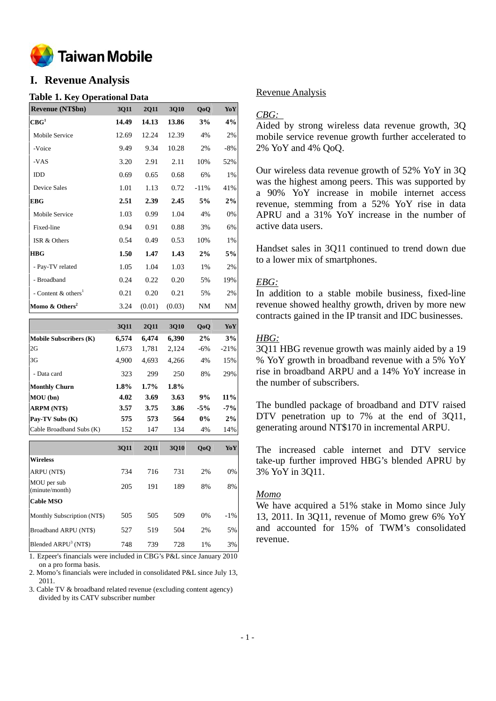

## **I. Revenue Analysis**

#### **Table 1. Key Operational Data**

| <b>Revenue (NT\$bn)</b>           | <b>3Q11</b> | <b>2Q11</b> | <b>3Q10</b> | QoQ    | YoY   |
|-----------------------------------|-------------|-------------|-------------|--------|-------|
| $\mathbf{CBG}^1$                  | 14.49       | 14.13       | 13.86       | 3%     | 4%    |
| Mobile Service                    | 12.69       | 12.24       | 12.39       | 4%     | 2%    |
| -Voice                            | 9.49        | 9.34        | 10.28       | 2%     | $-8%$ |
| -VAS                              | 3.20        | 2.91        | 2.11        | 10%    | 52%   |
| IDD                               | 0.69        | 0.65        | 0.68        | 6%     | 1%    |
| Device Sales                      | 1.01        | 1.13        | 0.72        | $-11%$ | 41%   |
| EBG                               | 2.51        | 2.39        | 2.45        | 5%     | 2%    |
| Mobile Service                    | 1.03        | 0.99        | 1.04        | 4%     | 0%    |
| Fixed-line                        | 0.94        | 0.91        | 0.88        | 3%     | 6%    |
| ISR & Others                      | 0.54        | 0.49        | 0.53        | 10%    | 1%    |
| <b>HBG</b>                        | 1.50        | 1.47        | 1.43        | 2%     | 5%    |
| - Pay-TV related                  | 1.05        | 1.04        | 1.03        | 1%     | 2%    |
| - Broadband                       | 0.24        | 0.22        | 0.20        | 5%     | 19%   |
| - Content $&$ others <sup>1</sup> | 0.21        | 0.20        | 0.21        | 5%     | 2%    |
| Momo $\&$ Others <sup>2</sup>     | 3.24        | (0.01)      | (0.03)      | NM     | NM    |

|                               | 3011  | 2011    | 3010  | 0 <sub>0</sub> | YoY    |
|-------------------------------|-------|---------|-------|----------------|--------|
| <b>Mobile Subscribers (K)</b> | 6,574 | 6,474   | 6,390 | 2%             | 3%     |
| 2G                            | 1,673 | 1.781   | 2,124 | $-6%$          | $-21%$ |
| 3G                            | 4,900 | 4.693   | 4,266 | 4%             | 15%    |
| - Data card                   | 323   | 299     | 250   | 8%             | 29%    |
| <b>Monthly Churn</b>          | 1.8%  | $1.7\%$ | 1.8%  |                |        |
| MOU(bn)                       | 4.02  | 3.69    | 3.63  | 9%             | $11\%$ |
| <b>ARPM (NT\$)</b>            | 3.57  | 3.75    | 3.86  | $-5\%$         | $-7\%$ |
| Pay-TV Subs (K)               | 575   | 573     | 564   | $0\%$          | 2%     |
| Cable Broadband Subs (K)      | 152   | 147     | 134   | 4%             | 14%    |

|                                  | <b>3Q11</b> | 2011 | 3010 | 0 <sub>0</sub> | YoY    |
|----------------------------------|-------------|------|------|----------------|--------|
| <b>Wireless</b>                  |             |      |      |                |        |
| ARPU (NT\$)                      | 734         | 716  | 731  | 2%             | 0%     |
| MOU per sub<br>(minute/month)    | 205         | 191  | 189  | 8%             | 8%     |
| <b>Cable MSO</b>                 |             |      |      |                |        |
| Monthly Subscription (NT\$)      | 505         | 505  | 509  | 0%             | $-1\%$ |
| Broadband ARPU (NT\$)            | 527         | 519  | 504  | 2%             | 5%     |
| Blended ARPU <sup>3</sup> (NT\$) | 748         | 739  | 728  | 1%             | 3%     |

1. Ezpeer's financials were included in CBG's P&L since January 2010 on a pro forma basis.

2. Momo's financials were included in consolidated P&L since July 13, 2011.

3. Cable TV & broadband related revenue (excluding content agency) divided by its CATV subscriber number

### Revenue Analysis

## *CBG:*

Aided by strong wireless data revenue growth, 3Q mobile service revenue growth further accelerated to 2% YoY and 4% QoQ.

Our wireless data revenue growth of 52% YoY in 3Q was the highest among peers. This was supported by a 90% YoY increase in mobile internet access revenue, stemming from a 52% YoY rise in data APRU and a 31% YoY increase in the number of active data users.

Handset sales in 3Q11 continued to trend down due to a lower mix of smartphones.

## *EBG:*

In addition to a stable mobile business, fixed-line revenue showed healthy growth, driven by more new contracts gained in the IP transit and IDC businesses.

## *HBG:*

3Q11 HBG revenue growth was mainly aided by a 19 % YoY growth in broadband revenue with a 5% YoY rise in broadband ARPU and a 14% YoY increase in the number of subscribers.

The bundled package of broadband and DTV raised DTV penetration up to 7% at the end of 3Q11, generating around NT\$170 in incremental ARPU.

The increased cable internet and DTV service take-up further improved HBG's blended APRU by 3% YoY in 3Q11.

### *Momo*

We have acquired a 51% stake in Momo since July 13, 2011. In 3Q11, revenue of Momo grew 6% YoY and accounted for 15% of TWM's consolidated revenue.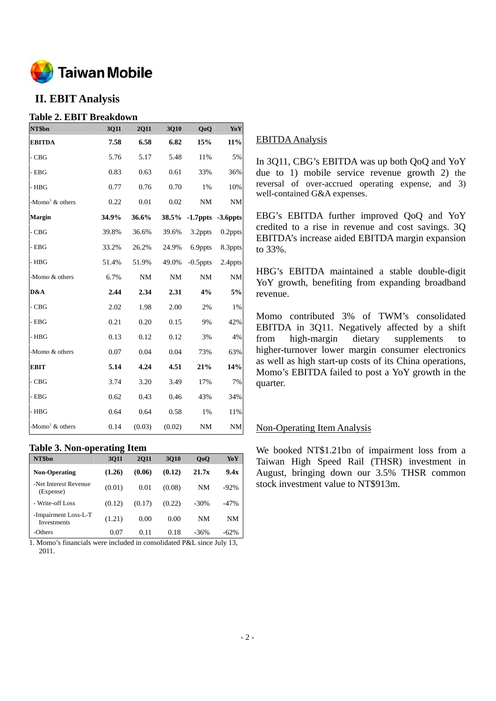

## **II. EBIT Analysis**

## **Table 2. EBIT Breakdown**

| NT\$bn                         | 3Q11  | <b>2Q11</b> | 3Q10      | Q <sub>o</sub> Q        | YoY        |
|--------------------------------|-------|-------------|-----------|-------------------------|------------|
| <b>EBITDA</b>                  | 7.58  | 6.58        | 6.82      | 15%                     | $11\%$     |
| $-CBG$                         | 5.76  | 5.17        | 5.48      | 11%                     | 5%         |
| $-$ EBG                        | 0.83  | 0.63        | 0.61      | 33%                     | 36%        |
| - HBG                          | 0.77  | 0.76        | 0.70      | 1%                      | 10%        |
| -Momo <sup>1</sup> & others    | 0.22  | 0.01        | 0.02      | NM                      | <b>NM</b>  |
| <b>Margin</b>                  | 34.9% | 36.6%       |           | 38.5% -1.7ppts -3.6ppts |            |
| $-CBG$                         | 39.8% | 36.6%       | 39.6%     | 3.2ppts                 | $0.2$ ppts |
| - EBG                          | 33.2% | 26.2%       | 24.9%     | 6.9ppts                 | 8.3ppts    |
| $-$ HBG                        | 51.4% | 51.9%       | 49.0%     | $-0.5$ ppts             | 2.4ppts    |
| -Momo & others                 | 6.7%  | <b>NM</b>   | <b>NM</b> | $\rm{NM}$               | <b>NM</b>  |
| D&A                            | 2.44  | 2.34        | 2.31      | 4%                      | 5%         |
| - CBG                          | 2.02  | 1.98        | 2.00      | 2%                      | 1%         |
| $-$ EBG                        | 0.21  | 0.20        | 0.15      | 9%                      | 42%        |
| $-$ HBG                        | 0.13  | 0.12        | 0.12      | 3%                      | 4%         |
| -Momo & others                 | 0.07  | 0.04        | 0.04      | 73%                     | 63%        |
| <b>EBIT</b>                    | 5.14  | 4.24        | 4.51      | 21%                     | 14%        |
| $-CBG$                         | 3.74  | 3.20        | 3.49      | 17%                     | 7%         |
| - EBG                          | 0.62  | 0.43        | 0.46      | 43%                     | 34%        |
| - HBG                          | 0.64  | 0.64        | 0.58      | 1%                      | 11%        |
| -Momo <sup>1</sup> $\&$ others | 0.14  | (0.03)      | (0.02)    | <b>NM</b>               | $\rm{NM}$  |

## **Table 3. Non-operating Item**

| NT\$bn                                     | 3011   | <b>2011</b> | 3010   | 0 <sub>0</sub> | YoY    |
|--------------------------------------------|--------|-------------|--------|----------------|--------|
| <b>Non-Operating</b>                       | (1.26) | (0.06)      | (0.12) | 21.7x          | 9.4x   |
| -Net Interest Revenue<br>(Expense)         | (0.01) | 0.01        | (0.08) | <b>NM</b>      | $-92%$ |
| - Write-off Loss                           | (0.12) | (0.17)      | (0.22) | $-30\%$        | $-47%$ |
| -Impairment Loss-L-T<br><b>Investments</b> | (1.21) | 0.00        | 0.00   | NM             | NM     |
| -Others                                    | 0.07   | 0.11        | 0.18   | $-36%$         | $-62%$ |

1. Momo's financials were included in consolidated P&L since July 13, 2011.

## EBITDA Analysis

In 3Q11, CBG's EBITDA was up both QoQ and YoY due to 1) mobile service revenue growth 2) the reversal of over-accrued operating expense, and 3) well-contained G&A expenses.

EBG's EBITDA further improved QoQ and YoY credited to a rise in revenue and cost savings. 3Q EBITDA's increase aided EBITDA margin expansion to 33%.

HBG's EBITDA maintained a stable double-digit YoY growth, benefiting from expanding broadband revenue.

Momo contributed 3% of TWM's consolidated EBITDA in 3Q11. Negatively affected by a shift from high-margin dietary supplements to higher-turnover lower margin consumer electronics as well as high start-up costs of its China operations, Momo's EBITDA failed to post a YoY growth in the quarter.

## Non-Operating Item Analysis

We booked NT\$1.21bn of impairment loss from a Taiwan High Speed Rail (THSR) investment in August, bringing down our 3.5% THSR common stock investment value to NT\$913m.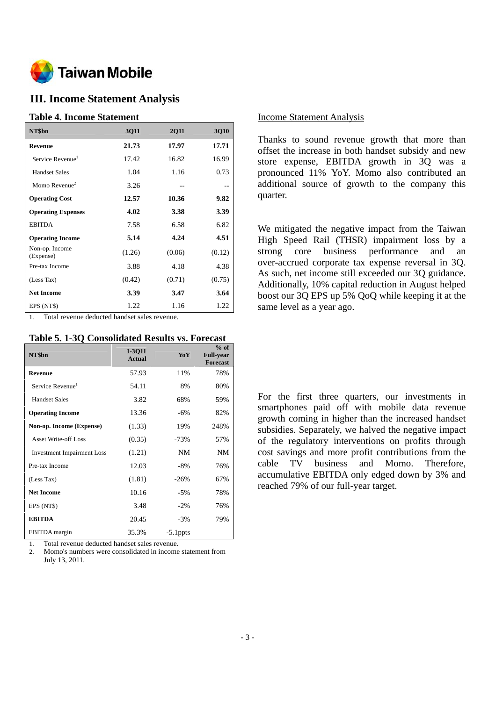

## **III. Income Statement Analysis**

### **Table 4. Income Statement**

| NT\$bn                       | 3Q11   | <b>2Q11</b> | <b>3Q10</b> |
|------------------------------|--------|-------------|-------------|
| <b>Revenue</b>               | 21.73  | 17.97       | 17.71       |
| Service Revenue <sup>1</sup> | 17.42  | 16.82       | 16.99       |
| <b>Handset Sales</b>         | 1.04   | 1.16        | 0.73        |
| Momo Revenue <sup>2</sup>    | 3.26   | --          |             |
| <b>Operating Cost</b>        | 12.57  | 10.36       | 9.82        |
| <b>Operating Expenses</b>    | 4.02   | 3.38        | 3.39        |
| <b>EBITDA</b>                | 7.58   | 6.58        | 6.82        |
| <b>Operating Income</b>      | 5.14   | 4.24        | 4.51        |
| Non-op. Income<br>(Expense)  | (1.26) | (0.06)      | (0.12)      |
| Pre-tax Income               | 3.88   | 4.18        | 4.38        |
| (Less Tax)                   | (0.42) | (0.71)      | (0.75)      |
| <b>Net Income</b>            | 3.39   | 3.47        | 3.64        |
| EPS (NT\$)                   | 1.22   | 1.16        | 1.22        |

1. Total revenue deducted handset sales revenue.

#### **Table 5. 1-3Q Consolidated Results vs. Forecast**

| NT\$bn                            | 1-3011<br><b>Actual</b> | YoY         | $%$ of<br><b>Full-year</b><br><b>Forecast</b> |
|-----------------------------------|-------------------------|-------------|-----------------------------------------------|
| <b>Revenue</b>                    | 57.93                   | 11%         | 78%                                           |
| Service Revenue <sup>1</sup>      | 54.11                   | 8%          | 80%                                           |
| <b>Handset Sales</b>              | 3.82                    | 68%         | 59%                                           |
| <b>Operating Income</b>           | 13.36                   | $-6\%$      | 82%                                           |
| Non-op. Income (Expense)          | (1.33)                  | 19%         | 248%                                          |
| <b>Asset Write-off Loss</b>       | (0.35)                  | $-73%$      | 57%                                           |
| <b>Investment Impairment Loss</b> | (1.21)                  | <b>NM</b>   | NM                                            |
| Pre-tax Income                    | 12.03                   | -8%         | 76%                                           |
| (Less Tax)                        | (1.81)                  | $-26%$      | 67%                                           |
| <b>Net Income</b>                 | 10.16                   | $-5%$       | 78%                                           |
| EPS (NT\$)                        | 3.48                    | $-2%$       | 76%                                           |
| <b>EBITDA</b>                     | 20.45                   | $-3%$       | 79%                                           |
| <b>EBITDA</b> margin              | 35.3%                   | $-5.1$ ppts |                                               |

1. Total revenue deducted handset sales revenue.

2. Momo's numbers were consolidated in income statement from July 13, 2011.

#### Income Statement Analysis

Thanks to sound revenue growth that more than offset the increase in both handset subsidy and new store expense, EBITDA growth in 3Q was a pronounced 11% YoY. Momo also contributed an additional source of growth to the company this quarter.

We mitigated the negative impact from the Taiwan High Speed Rail (THSR) impairment loss by a strong core business performance and an over-accrued corporate tax expense reversal in 3Q. As such, net income still exceeded our 3Q guidance. Additionally, 10% capital reduction in August helped boost our 3Q EPS up 5% QoQ while keeping it at the same level as a year ago.

For the first three quarters, our investments in smartphones paid off with mobile data revenue growth coming in higher than the increased handset subsidies. Separately, we halved the negative impact of the regulatory interventions on profits through cost savings and more profit contributions from the cable TV business and Momo. Therefore, accumulative EBITDA only edged down by 3% and reached 79% of our full-year target.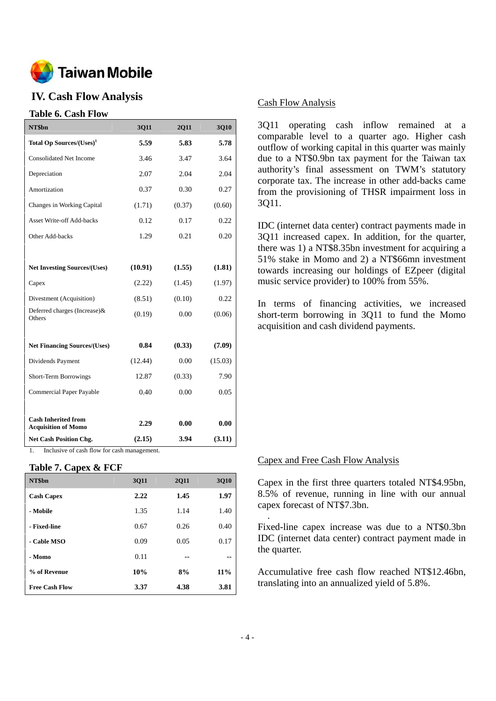

## **IV. Cash Flow Analysis**

### **Table 6. Cash Flow**

| NT\$bn                                                   | 3Q11    | 2Q11   | 3Q10    |
|----------------------------------------------------------|---------|--------|---------|
| Total Op Sources/(Uses) <sup>1</sup>                     | 5.59    | 5.83   | 5.78    |
| <b>Consolidated Net Income</b>                           | 3.46    | 3.47   | 3.64    |
| Depreciation                                             | 2.07    | 2.04   | 2.04    |
| Amortization                                             | 0.37    | 0.30   | 0.27    |
| Changes in Working Capital                               | (1.71)  | (0.37) | (0.60)  |
| <b>Asset Write-off Add-backs</b>                         | 0.12    | 0.17   | 0.22    |
| Other Add-backs                                          | 1.29    | 0.21   | 0.20    |
|                                                          |         |        |         |
| <b>Net Investing Sources/(Uses)</b>                      | (10.91) | (1.55) | (1.81)  |
| Capex                                                    | (2.22)  | (1.45) | (1.97)  |
| Divestment (Acquisition)                                 | (8.51)  | (0.10) | 0.22    |
| Deferred charges (Increase)&<br>Others                   | (0.19)  | 0.00   | (0.06)  |
|                                                          |         |        |         |
| <b>Net Financing Sources/(Uses)</b>                      | 0.84    | (0.33) | (7.09)  |
| Dividends Payment                                        | (12.44) | 0.00   | (15.03) |
| Short-Term Borrowings                                    | 12.87   | (0.33) | 7.90    |
| <b>Commercial Paper Payable</b>                          | 0.40    | 0.00   | 0.05    |
|                                                          |         |        |         |
| <b>Cash Inherited from</b><br><b>Acquisition of Momo</b> | 2.29    | 0.00   | 0.00    |
| <b>Net Cash Position Chg.</b>                            | (2.15)  | 3.94   | (3.11)  |

1. Inclusive of cash flow for cash management.

#### **Table 7. Capex & FCF**

| NT\$bn                | 3Q11 | <b>2Q11</b> | 3Q10 |
|-----------------------|------|-------------|------|
| <b>Cash Capex</b>     | 2.22 | 1.45        | 1.97 |
| - Mobile              | 1.35 | 1.14        | 1.40 |
| - Fixed-line          | 0.67 | 0.26        | 0.40 |
| - Cable MSO           | 0.09 | 0.05        | 0.17 |
| - Momo                | 0.11 | --          | --   |
| % of Revenue          | 10%  | 8%          | 11%  |
| <b>Free Cash Flow</b> | 3.37 | 4.38        | 3.81 |

#### Cash Flow Analysis

3Q11 operating cash inflow remained at a comparable level to a quarter ago. Higher cash outflow of working capital in this quarter was mainly due to a NT\$0.9bn tax payment for the Taiwan tax authority's final assessment on TWM's statutory corporate tax. The increase in other add-backs came from the provisioning of THSR impairment loss in 3Q11.

IDC (internet data center) contract payments made in 3Q11 increased capex. In addition, for the quarter, there was 1) a NT\$8.35bn investment for acquiring a 51% stake in Momo and 2) a NT\$66mn investment towards increasing our holdings of EZpeer (digital music service provider) to 100% from 55%.

In terms of financing activities, we increased short-term borrowing in 3Q11 to fund the Momo acquisition and cash dividend payments.

### Capex and Free Cash Flow Analysis

Capex in the first three quarters totaled NT\$4.95bn, 8.5% of revenue, running in line with our annual capex forecast of NT\$7.3bn.

Fixed-line capex increase was due to a NT\$0.3bn IDC (internet data center) contract payment made in the quarter.

Accumulative free cash flow reached NT\$12.46bn, translating into an annualized yield of 5.8%.

.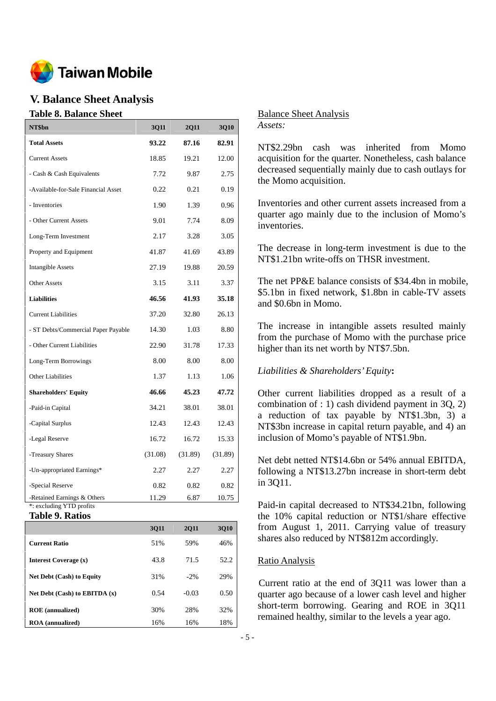

## **V. Balance Sheet Analysis**

#### **Table 8. Balance Sheet**

| NT\$bn                                                  | 3Q11    | <b>2Q11</b> | 3Q10    |
|---------------------------------------------------------|---------|-------------|---------|
| <b>Total Assets</b>                                     | 93.22   | 87.16       | 82.91   |
| <b>Current Assets</b>                                   | 18.85   | 19.21       | 12.00   |
| - Cash & Cash Equivalents                               | 7.72    | 9.87        | 2.75    |
| -Available-for-Sale Financial Asset                     | 0.22    | 0.21        | 0.19    |
| - Inventories                                           | 1.90    | 1.39        | 0.96    |
| - Other Current Assets                                  | 9.01    | 7.74        | 8.09    |
| Long-Term Investment                                    | 2.17    | 3.28        | 3.05    |
| Property and Equipment                                  | 41.87   | 41.69       | 43.89   |
| <b>Intangible Assets</b>                                | 27.19   | 19.88       | 20.59   |
| <b>Other Assets</b>                                     | 3.15    | 3.11        | 3.37    |
| <b>Liabilities</b>                                      | 46.56   | 41.93       | 35.18   |
| <b>Current Liabilities</b>                              | 37.20   | 32.80       | 26.13   |
| - ST Debts/Commercial Paper Payable                     | 14.30   | 1.03        | 8.80    |
| - Other Current Liabilities                             | 22.90   | 31.78       | 17.33   |
| Long-Term Borrowings                                    | 8.00    | 8.00        | 8.00    |
| <b>Other Liabilities</b>                                | 1.37    | 1.13        | 1.06    |
| <b>Shareholders' Equity</b>                             | 46.66   | 45.23       | 47.72   |
| -Paid-in Capital                                        | 34.21   | 38.01       | 38.01   |
| -Capital Surplus                                        | 12.43   | 12.43       | 12.43   |
| -Legal Reserve                                          | 16.72   | 16.72       | 15.33   |
| -Treasury Shares                                        | (31.08) | (31.89)     | (31.89) |
| -Un-appropriated Earnings*                              | 2.27    | 2.27        | 2.27    |
| -Special Reserve                                        | 0.82    | 0.82        | 0.82    |
| -Retained Earnings & Others<br>*: excluding YTD profits | 11.29   | 6.87        | 10.75   |

**Table 9. Ratios** 

|                                  | 3011 | <b>2011</b> | <b>3010</b> |
|----------------------------------|------|-------------|-------------|
| <b>Current Ratio</b>             | 51%  | 59%         | 46%         |
| Interest Coverage (x)            | 43.8 | 71.5        | 52.2        |
| <b>Net Debt (Cash) to Equity</b> | 31%  | $-2\%$      | 29%         |
| Net Debt (Cash) to EBITDA $(x)$  | 0.54 | $-0.03$     | 0.50        |
| <b>ROE</b> (annualized)          | 30%  | 28%         | 32%         |
| <b>ROA</b> (annualized)          | 16%  | 16%         | 18%         |

Balance Sheet Analysis *Assets:* 

NT\$2.29bn cash was inherited from Momo acquisition for the quarter. Nonetheless, cash balance decreased sequentially mainly due to cash outlays for the Momo acquisition.

Inventories and other current assets increased from a quarter ago mainly due to the inclusion of Momo's inventories.

The decrease in long-term investment is due to the NT\$1.21bn write-offs on THSR investment.

The net PP&E balance consists of \$34.4bn in mobile, \$5.1bn in fixed network, \$1.8bn in cable-TV assets and \$0.6bn in Momo.

The increase in intangible assets resulted mainly from the purchase of Momo with the purchase price higher than its net worth by NT\$7.5bn.

## *Liabilities & Shareholders' Equity***:**

Other current liabilities dropped as a result of a combination of : 1) cash dividend payment in 3Q, 2) a reduction of tax payable by NT\$1.3bn, 3) a NT\$3bn increase in capital return payable, and 4) an inclusion of Momo's payable of NT\$1.9bn.

Net debt netted NT\$14.6bn or 54% annual EBITDA, following a NT\$13.27bn increase in short-term debt in 3Q11.

Paid-in capital decreased to NT\$34.21bn, following the 10% capital reduction or NT\$1/share effective from August 1, 2011. Carrying value of treasury shares also reduced by NT\$812m accordingly.

## Ratio Analysis

Current ratio at the end of 3Q11 was lower than a quarter ago because of a lower cash level and higher short-term borrowing. Gearing and ROE in 3Q11 remained healthy, similar to the levels a year ago.